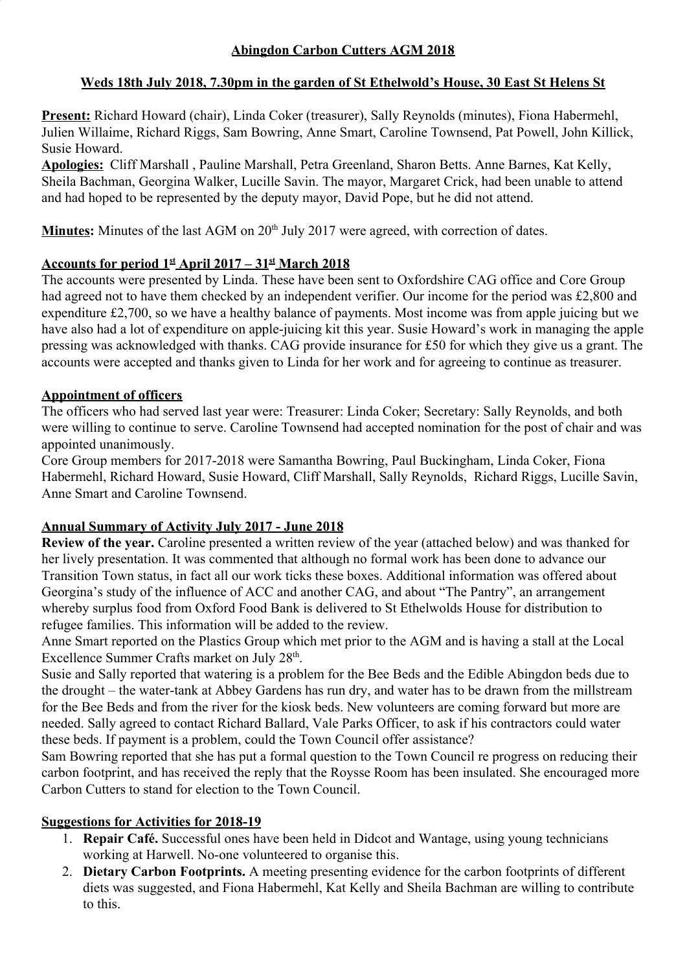# **Weds 18th July 2018, 7.30pm in the garden of St Ethelwold's House, 30 East St Helens St**

**Present:** Richard Howard (chair), Linda Coker (treasurer), Sally Reynolds (minutes), Fiona Habermehl, Julien Willaime, Richard Riggs, Sam Bowring, Anne Smart, Caroline Townsend, Pat Powell, John Killick, Susie Howard.

**Apologies:** Cliff Marshall , Pauline Marshall, Petra Greenland, Sharon Betts. Anne Barnes, Kat Kelly, Sheila Bachman, Georgina Walker, Lucille Savin. The mayor, Margaret Crick, had been unable to attend and had hoped to be represented by the deputy mayor, David Pope, but he did not attend.

Minutes: Minutes of the last AGM on 20<sup>th</sup> July 2017 were agreed, with correction of dates.

# **Accounts for period 1st April 2017 – 31st March 2018**

The accounts were presented by Linda. These have been sent to Oxfordshire CAG office and Core Group had agreed not to have them checked by an independent verifier. Our income for the period was £2,800 and expenditure £2,700, so we have a healthy balance of payments. Most income was from apple juicing but we have also had a lot of expenditure on apple-juicing kit this year. Susie Howard's work in managing the apple pressing was acknowledged with thanks. CAG provide insurance for £50 for which they give us a grant. The accounts were accepted and thanks given to Linda for her work and for agreeing to continue as treasurer.

# **Appointment of officers**

The officers who had served last year were: Treasurer: Linda Coker; Secretary: Sally Reynolds, and both were willing to continue to serve. Caroline Townsend had accepted nomination for the post of chair and was appointed unanimously.

Core Group members for 2017-2018 were Samantha Bowring, Paul Buckingham, Linda Coker, Fiona Habermehl, Richard Howard, Susie Howard, Cliff Marshall, Sally Reynolds, Richard Riggs, Lucille Savin, Anne Smart and Caroline Townsend.

## **Annual Summary of Activity July 2017 - June 2018**

**Review of the year.** Caroline presented a written review of the year (attached below) and was thanked for her lively presentation. It was commented that although no formal work has been done to advance our Transition Town status, in fact all our work ticks these boxes. Additional information was offered about Georgina's study of the influence of ACC and another CAG, and about "The Pantry", an arrangement whereby surplus food from Oxford Food Bank is delivered to St Ethelwolds House for distribution to refugee families. This information will be added to the review.

Anne Smart reported on the Plastics Group which met prior to the AGM and is having a stall at the Local Excellence Summer Crafts market on July 28<sup>th</sup>.

Susie and Sally reported that watering is a problem for the Bee Beds and the Edible Abingdon beds due to the drought – the water-tank at Abbey Gardens has run dry, and water has to be drawn from the millstream for the Bee Beds and from the river for the kiosk beds. New volunteers are coming forward but more are needed. Sally agreed to contact Richard Ballard, Vale Parks Officer, to ask if his contractors could water these beds. If payment is a problem, could the Town Council offer assistance?

Sam Bowring reported that she has put a formal question to the Town Council re progress on reducing their carbon footprint, and has received the reply that the Roysse Room has been insulated. She encouraged more Carbon Cutters to stand for election to the Town Council.

## **Suggestions for Activities for 2018-19**

- 1. **Repair Café.** Successful ones have been held in Didcot and Wantage, using young technicians working at Harwell. No-one volunteered to organise this.
- 2. **Dietary Carbon Footprints.** A meeting presenting evidence for the carbon footprints of different diets was suggested, and Fiona Habermehl, Kat Kelly and Sheila Bachman are willing to contribute to this.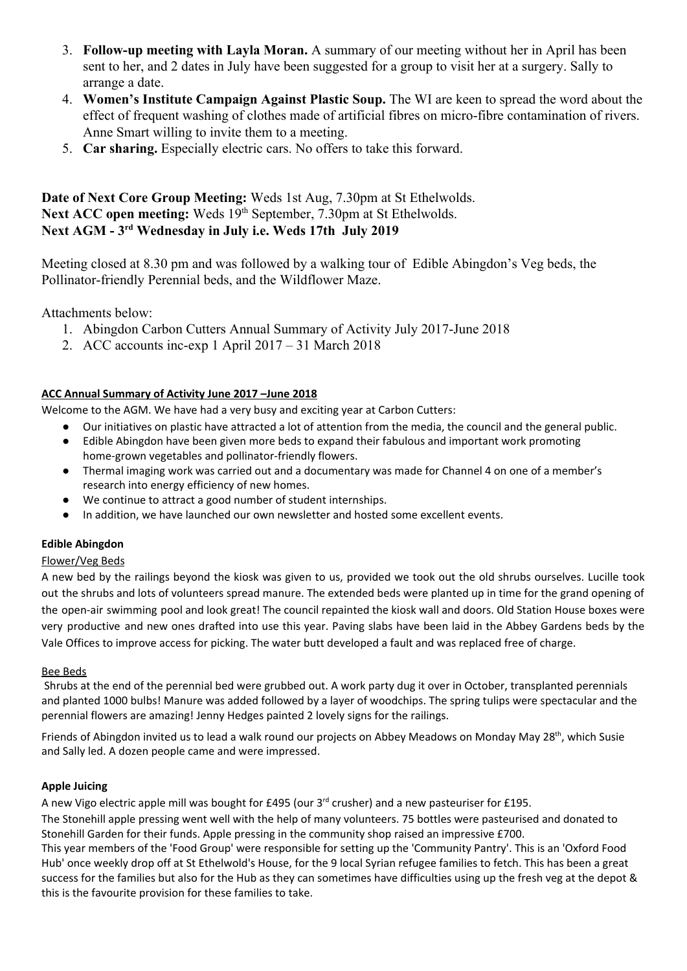- 3. **Follow-up meeting with Layla Moran.** A summary of our meeting without her in April has been sent to her, and 2 dates in July have been suggested for a group to visit her at a surgery. Sally to arrange a date.
- 4. **Women's Institute Campaign Against Plastic Soup.** The WI are keen to spread the word about the effect of frequent washing of clothes made of artificial fibres on micro-fibre contamination of rivers. Anne Smart willing to invite them to a meeting.
- 5. **Car sharing.** Especially electric cars. No offers to take this forward.

## **Date of Next Core Group Meeting:** Weds 1st Aug, 7.30pm at St Ethelwolds. Next ACC open meeting: Weds 19<sup>th</sup> September, 7.30pm at St Ethelwolds. **Next AGM - 3rd Wednesday in July i.e. Weds 17th July 2019**

Meeting closed at 8.30 pm and was followed by a walking tour of Edible Abingdon's Veg beds, the Pollinator-friendly Perennial beds, and the Wildflower Maze.

Attachments below:

- 1. Abingdon Carbon Cutters Annual Summary of Activity July 2017-June 2018
- 2. ACC accounts inc-exp 1 April 2017 31 March 2018

## **ACC Annual Summary of Activity June 2017 –June 2018**

Welcome to the AGM. We have had a very busy and exciting year at Carbon Cutters:

- Our initiatives on plastic have attracted a lot of attention from the media, the council and the general public.
- Edible Abingdon have been given more beds to expand their fabulous and important work promoting home-grown vegetables and pollinator-friendly flowers.
- Thermal imaging work was carried out and a documentary was made for Channel 4 on one of a member's research into energy efficiency of new homes.
- We continue to attract a good number of student internships.
- In addition, we have launched our own newsletter and hosted some excellent events.

### **Edible Abingdon**

## Flower/Veg Beds

A new bed by the railings beyond the kiosk was given to us, provided we took out the old shrubs ourselves. Lucille took out the shrubs and lots of volunteers spread manure. The extended beds were planted up in time for the grand opening of the open-air swimming pool and look great! The council repainted the kiosk wall and doors. Old Station House boxes were very productive and new ones drafted into use this year. Paving slabs have been laid in the Abbey Gardens beds by the Vale Offices to improve access for picking. The water butt developed a fault and was replaced free of charge.

### Bee Beds

Shrubs at the end of the perennial bed were grubbed out. A work party dug it over in October, transplanted perennials and planted 1000 bulbs! Manure was added followed by a layer of woodchips. The spring tulips were spectacular and the perennial flowers are amazing! Jenny Hedges painted 2 lovely signs for the railings.

Friends of Abingdon invited us to lead a walk round our projects on Abbey Meadows on Monday May 28<sup>th</sup>, which Susie and Sally led. A dozen people came and were impressed.

### **Apple Juicing**

A new Vigo electric apple mill was bought for £495 (our 3<sup>rd</sup> crusher) and a new pasteuriser for £195.

The Stonehill apple pressing went well with the help of many volunteers. 75 bottles were pasteurised and donated to Stonehill Garden for their funds. Apple pressing in the community shop raised an impressive £700.

This year members of the 'Food Group' were responsible for setting up the 'Community Pantry'. This is an 'Oxford Food Hub' once weekly drop off at St Ethelwold's House, for the 9 local Syrian refugee families to fetch. This has been a great success for the families but also for the Hub as they can sometimes have difficulties using up the fresh veg at the depot & this is the favourite provision for these families to take.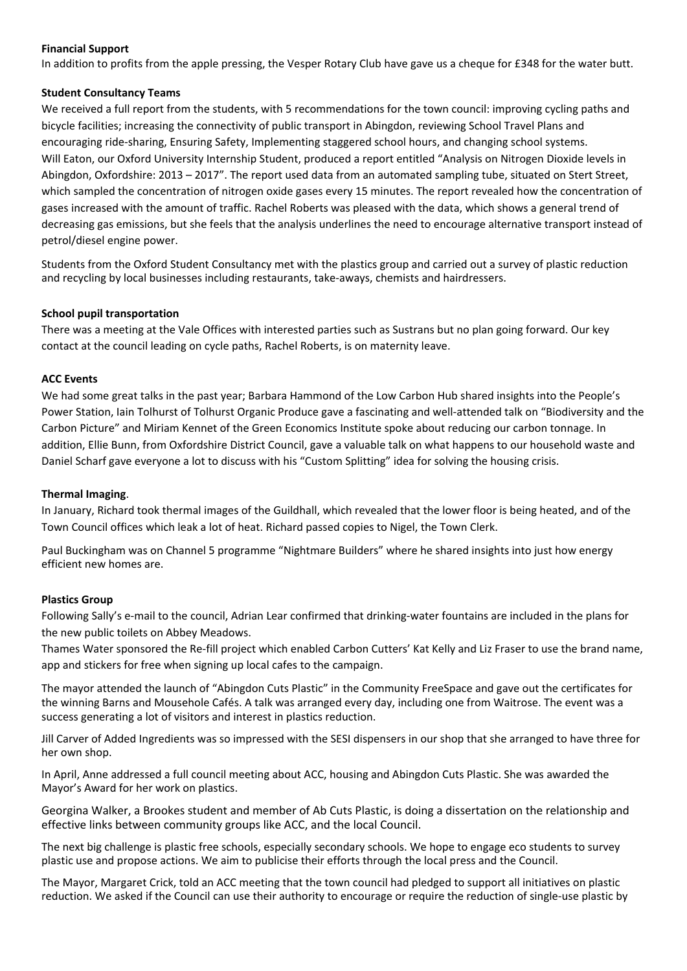### **Financial Support**

In addition to profits from the apple pressing, the Vesper Rotary Club have gave us a cheque for £348 for the water butt.

#### **Student Consultancy Teams**

We received a full report from the students, with 5 recommendations for the town council: improving cycling paths and bicycle facilities; increasing the connectivity of public transport in Abingdon, reviewing School Travel Plans and encouraging ride-sharing, Ensuring Safety, Implementing staggered school hours, and changing school systems. Will Eaton, our Oxford University Internship Student, produced a report entitled "Analysis on Nitrogen Dioxide levels in Abingdon, Oxfordshire: 2013 – 2017". The report used data from an automated sampling tube, situated on Stert Street, which sampled the concentration of nitrogen oxide gases every 15 minutes. The report revealed how the concentration of gases increased with the amount of traffic. Rachel Roberts was pleased with the data, which shows a general trend of decreasing gas emissions, but she feels that the analysis underlines the need to encourage alternative transport instead of petrol/diesel engine power.

Students from the Oxford Student Consultancy met with the plastics group and carried out a survey of plastic reduction and recycling by local businesses including restaurants, take-aways, chemists and hairdressers.

#### **School pupil transportation**

There was a meeting at the Vale Offices with interested parties such as Sustrans but no plan going forward. Our key contact at the council leading on cycle paths, Rachel Roberts, is on maternity leave.

#### **ACC Events**

We had some great talks in the past year; Barbara Hammond of the Low Carbon Hub shared insights into the People's Power Station, Iain Tolhurst of Tolhurst Organic Produce gave a fascinating and well-attended talk on "Biodiversity and the Carbon Picture" and Miriam Kennet of the Green Economics Institute spoke about reducing our carbon tonnage. In addition, Ellie Bunn, from Oxfordshire District Council, gave a valuable talk on what happens to our household waste and Daniel Scharf gave everyone a lot to discuss with his "Custom Splitting" idea for solving the housing crisis.

#### **Thermal Imaging**.

In January, Richard took thermal images of the Guildhall, which revealed that the lower floor is being heated, and of the Town Council offices which leak a lot of heat. Richard passed copies to Nigel, the Town Clerk.

Paul Buckingham was on Channel 5 programme "Nightmare Builders" where he shared insights into just how energy efficient new homes are.

#### **Plastics Group**

Following Sally's e-mail to the council, Adrian Lear confirmed that drinking-water fountains are included in the plans for the new public toilets on Abbey Meadows.

Thames Water sponsored the Re-fill project which enabled Carbon Cutters' Kat Kelly and Liz Fraser to use the brand name, app and stickers for free when signing up local cafes to the campaign.

The mayor attended the launch of "Abingdon Cuts Plastic" in the Community FreeSpace and gave out the certificates for the winning Barns and Mousehole Cafés. A talk was arranged every day, including one from Waitrose. The event was a success generating a lot of visitors and interest in plastics reduction.

Jill Carver of Added Ingredients was so impressed with the SESI dispensers in our shop that she arranged to have three for her own shop.

In April, Anne addressed a full council meeting about ACC, housing and Abingdon Cuts Plastic. She was awarded the Mayor's Award for her work on plastics.

Georgina Walker, a Brookes student and member of Ab Cuts Plastic, is doing a dissertation on the relationship and effective links between community groups like ACC, and the local Council.

The next big challenge is plastic free schools, especially secondary schools. We hope to engage eco students to survey plastic use and propose actions. We aim to publicise their efforts through the local press and the Council.

The Mayor, Margaret Crick, told an ACC meeting that the town council had pledged to support all initiatives on plastic reduction. We asked if the Council can use their authority to encourage or require the reduction of single-use plastic by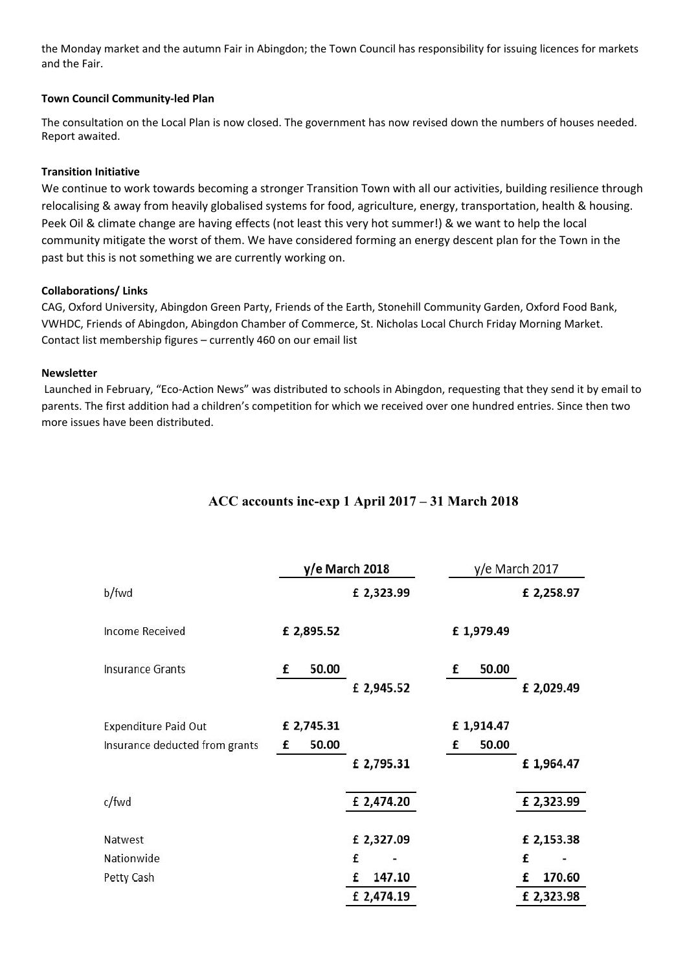the Monday market and the autumn Fair in Abingdon; the Town Council has responsibility for issuing licences for markets and the Fair.

### **Town Council Community-led Plan**

The consultation on the Local Plan is now closed. The government has now revised down the numbers of houses needed. Report awaited.

### **Transition Initiative**

We continue to work towards becoming a stronger Transition Town with all our activities, building resilience through relocalising & away from heavily globalised systems for food, agriculture, energy, transportation, health & housing. Peek Oil & climate change are having effects (not least this very hot summer!) & we want to help the local community mitigate the worst of them. We have considered forming an energy descent plan for the Town in the past but this is not something we are currently working on.

### **Collaborations/ Links**

CAG, Oxford University, Abingdon Green Party, Friends of the Earth, Stonehill Community Garden, Oxford Food Bank, VWHDC, Friends of Abingdon, Abingdon Chamber of Commerce, St. Nicholas Local Church Friday Morning Market. Contact list membership figures – currently 460 on our email list

#### **Newsletter**

Launched in February, "Eco-Action News" was distributed to schools in Abingdon, requesting that they send it by email to parents. The first addition had a children's competition for which we received over one hundred entries. Since then two more issues have been distributed.

|                                | y/e March 2018 |             | $y/e$ March 2017 |             |  |
|--------------------------------|----------------|-------------|------------------|-------------|--|
| b/fwd                          |                | £ 2,323.99  |                  | £ 2,258.97  |  |
| <b>Income Received</b>         | £ 2,895.52     |             | £1,979.49        |             |  |
| <b>Insurance Grants</b>        | £<br>50.00     |             | 50.00<br>£       |             |  |
|                                |                | £ 2,945.52  |                  | £ 2,029.49  |  |
| <b>Expenditure Paid Out</b>    | £ 2,745.31     |             | £1,914.47        |             |  |
| Insurance deducted from grants | 50.00<br>£     |             | 50.00<br>£       |             |  |
|                                |                | £ 2,795.31  |                  | £1,964.47   |  |
| c/fwd                          |                | £ 2,474.20  |                  | £ 2,323.99  |  |
| Natwest                        |                | £ 2,327.09  |                  | £ 2,153.38  |  |
| Nationwide                     |                | £           |                  | £           |  |
| Petty Cash                     |                | 147.10<br>£ |                  | 170.60<br>£ |  |
|                                |                | £ 2,474.19  |                  | £ 2,323.98  |  |